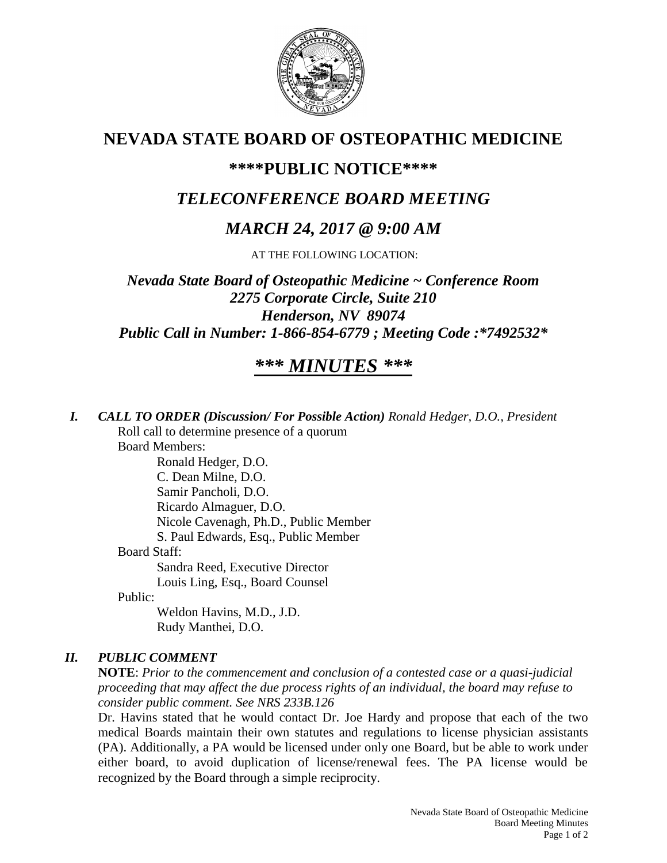

# **NEVADA STATE BOARD OF OSTEOPATHIC MEDICINE**

## **\*\*\*\*PUBLIC NOTICE\*\*\*\***

# *TELECONFERENCE BOARD MEETING*

# *MARCH 24, 2017 @ 9:00 AM*

AT THE FOLLOWING LOCATION:

*Nevada State Board of Osteopathic Medicine ~ Conference Room 2275 Corporate Circle, Suite 210 Henderson, NV 89074 Public Call in Number: 1-866-854-6779 ; Meeting Code :\*7492532\**

# *\*\*\* MINUTES \*\*\**

*I. CALL TO ORDER (Discussion/ For Possible Action) Ronald Hedger, D.O., President* Roll call to determine presence of a quorum

Board Members:

Ronald Hedger, D.O. C. Dean Milne, D.O. Samir Pancholi, D.O. Ricardo Almaguer, D.O. Nicole Cavenagh, Ph.D., Public Member S. Paul Edwards, Esq., Public Member Board Staff: Sandra Reed, Executive Director Louis Ling, Esq., Board Counsel

Public:

Weldon Havins, M.D., J.D. Rudy Manthei, D.O.

### *II. PUBLIC COMMENT*

**NOTE**: *Prior to the commencement and conclusion of a contested case or a quasi-judicial proceeding that may affect the due process rights of an individual, the board may refuse to consider public comment. See NRS 233B.126*

Dr. Havins stated that he would contact Dr. Joe Hardy and propose that each of the two medical Boards maintain their own statutes and regulations to license physician assistants (PA). Additionally, a PA would be licensed under only one Board, but be able to work under either board, to avoid duplication of license/renewal fees. The PA license would be recognized by the Board through a simple reciprocity.